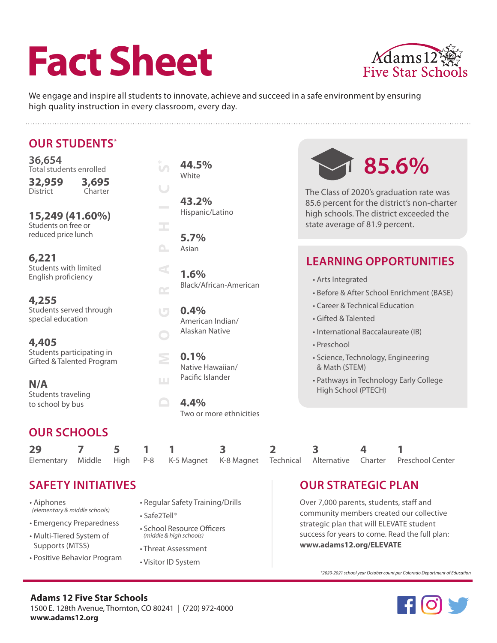# **Fact Sheet**



We engage and inspire all students to innovate, achieve and succeed in a safe environment by ensuring high quality instruction in every classroom, every day.

| <b>OUR STUDENTS*</b>                                           |         |   |        |                  |                                              |                                                   |                                                                                                                                   |                         |  |  |
|----------------------------------------------------------------|---------|---|--------|------------------|----------------------------------------------|---------------------------------------------------|-----------------------------------------------------------------------------------------------------------------------------------|-------------------------|--|--|
| 36,654<br>Total students enrolled<br>32,959                    | 3,695   |   |        | $\mathfrak{c}$   | 44.5%<br>White                               |                                                   | 85.6%                                                                                                                             |                         |  |  |
| <b>District</b><br>15,249 (41.60%)                             | Charter |   |        |                  | 43.2%<br>Hispanic/Latino<br>5.7%             |                                                   | The Class of 2020's graduation rate was<br>85.6 percent for the district's non-charter<br>high schools. The district exceeded the |                         |  |  |
| Students on free or<br>reduced price lunch                     |         |   |        | Œ,               |                                              |                                                   | state average of 81.9 percent.                                                                                                    |                         |  |  |
| 6,221<br>Students with limited<br>English proficiency<br>4,255 |         |   |        | $\cap$<br>$\leq$ | Asian<br>1.6%                                |                                                   | <b>LEARNING OPPORTUNITIES</b>                                                                                                     |                         |  |  |
|                                                                |         |   | $\sim$ |                  | Black/African-American                       |                                                   | • Arts Integrated<br>· Before & After School Enrichment (BASE)                                                                    |                         |  |  |
| Students served through<br>special education                   |         |   |        | $\Box$           | 0.4%<br>American Indian/                     |                                                   | • Career & Technical Education<br>· Gifted & Talented                                                                             |                         |  |  |
| 4,405<br>Students participating in                             |         |   |        | Alaskan Native   |                                              | · International Baccalaureate (IB)<br>• Preschool |                                                                                                                                   |                         |  |  |
| Gifted & Talented Program                                      |         |   |        | $\geq$           | 0.1%<br>Native Hawaiian/<br>Pacific Islander |                                                   | · Science, Technology, Engineering<br>& Math (STEM)                                                                               |                         |  |  |
| N/A<br>Students traveling<br>to school by bus                  |         |   |        | Ш                | 4.4%                                         |                                                   | • Pathways in Technology Early College<br>High School (PTECH)                                                                     |                         |  |  |
|                                                                |         |   |        |                  | Two or more ethnicities                      |                                                   |                                                                                                                                   |                         |  |  |
| <b>OUR SCHOOLS</b>                                             |         |   |        |                  |                                              |                                                   |                                                                                                                                   |                         |  |  |
| 29<br>7                                                        |         | 5 |        |                  | 3                                            | 2                                                 | 3                                                                                                                                 | $\overline{\mathbf{4}}$ |  |  |

K-8 Magnet

### **SAFETY INITIATIVES**

Middle

High

• Aiphones  *(elementary & middle schools)*

Elementary

- Emergency Preparedness
- Multi-Tiered System of Supports (MTSS)
- Positive Behavior Program
- Regular Safety Training/Drills

K-5 Magnet

• Safe2Tell®

P-8

- School Resource Officers  *(middle & high schools)*
- Threat Assessment
- Visitor ID System

# **OUR STRATEGIC PLAN**

Alternative

**Technical** 

Over 7,000 parents, students, staff and community members created our collective strategic plan that will ELEVATE student success for years to come. Read the full plan: **www.adams12.org/ELEVATE** 

Charter

*\*2020-2021 school year October count per Colorado Department of Education*



Preschool Center

**Adams 12 Five Star Schools** 1500 E. 128th Avenue, Thornton, CO 80241 | (720) 972-4000 **www.adams12.org**